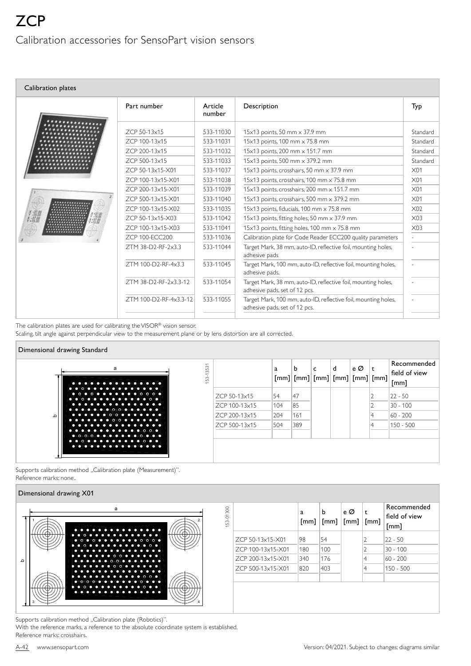| Calibration plates |                        |                   |                                                                                                 |                 |
|--------------------|------------------------|-------------------|-------------------------------------------------------------------------------------------------|-----------------|
|                    | Part number            | Article<br>number | Description                                                                                     | Typ             |
|                    | ZCP 50-13x15           | 533-11030         | 15x13 points, 50 mm x 37.9 mm                                                                   | Standard        |
|                    | ZCP 100-13x15          | 533-11031         | 15x13 points, 100 mm x 75.8 mm                                                                  | Standard        |
|                    | ZCP 200-13x15          | 533-11032         | 15x13 points, 200 mm x 151.7 mm                                                                 | Standard        |
|                    | ZCP 500-13x15          | 533-11033         | 15x13 points, 500 mm x 379.2 mm                                                                 | Standard        |
|                    | ZCP 50-13x15-X01       | 533-11037         | 15x13 points, crosshairs, 50 mm x 37.9 mm                                                       | X <sub>01</sub> |
|                    | ZCP 100-13x15-X01      | 533-11038         | 15x13 points, crosshairs, 100 mm x 75.8 mm                                                      | X <sub>01</sub> |
|                    | ZCP 200-13x15-X01      | 533-11039         | 15x13 points, crosshairs, 200 mm x 151,7 mm                                                     | X <sub>01</sub> |
|                    | ZCP 500-13x15-X01      | 533-11040         | 15x13 points, crosshairs, 500 mm x 379.2 mm                                                     | X <sub>01</sub> |
|                    | ZCP 100-13x15-X02      | 533-11035         | 15x13 points, fiducials, 100 mm x 75.8 mm                                                       | X <sub>02</sub> |
|                    | ZCP 50-13x15-X03       | 533-11042         | 15x13 points, fitting holes, 50 mm x 37.9 mm                                                    | X <sub>03</sub> |
|                    | ZCP 100-13x15-X03      | 533-11041         | 15x13 points, fitting holes, 100 mm x 75.8 mm                                                   | X03             |
|                    | ZCP 100-ECC200         | 533-11036         | Calibration plate for Code Reader ECC200 quality parameters                                     |                 |
|                    | ZTM 38-D2-RF-2x3.3     | 533-11044         | Target Mark, 38 mm, auto-ID, reflective foil, mounting holes,<br>adhesive pads                  |                 |
|                    | ZTM 100-D2-RF-4x3.3    | 533-11045         | Target Mark, 100 mm, auto-ID, reflective foil, mounting holes,<br>adhesive pads,                |                 |
|                    | ZTM 38-D2-RF-2x3.3-12  | 533-11054         | Target Mark, 38 mm, auto-ID, reflective foil, mounting holes,<br>adhesive pads, set of 12 pcs.  |                 |
|                    | ZTM 100-D2-RF-4x3.3-12 | 533-11055         | Target Mark, 100 mm, auto-ID, reflective foil, mounting holes,<br>adhesive pads, set of 12 pcs. |                 |

The calibration plates are used for calibrating the VISOR® vision sensor.

Scaling, tilt angle against perpendicular view to the measurement plane or by lens distortion are all corrected.



Supports calibration method "Calibration plate (Measurement)". Reference marks: none..

## Dimensional drawing X01

|   | a<br>.                                                                         | -01300<br>Š, |                   | a<br>[mm] | n.<br>$\lceil mm \rceil$ | e Ø<br>$\lceil$ [mm] | $\lceil$ [mm] | Recommended<br>field of view<br>[mm] |
|---|--------------------------------------------------------------------------------|--------------|-------------------|-----------|--------------------------|----------------------|---------------|--------------------------------------|
|   | . <b>.</b><br>$0 0 0 0 0 0 0 0 0 0 0 0 0 0 0 0 0 0 0 0 0 0 0 0 0 0 0 0 0 0 0 $ |              | ZCP 50-13x15-X01  | 198       | 154                      |                      |               | $ 22 - 50$                           |
|   | . <b>.</b><br>.                                                                |              | ZCP 100-13x15-X01 | 180       | 100                      |                      |               | 30 - 100                             |
| ء | . <b>.</b><br>. <b>.</b> .                                                     |              | ZCP 200-13x15-X01 | 340       | 176                      |                      |               | $60 - 200$                           |
|   | .<br>.                                                                         |              | ZCP 500-13x15-X01 | 820       | 403                      |                      |               | 150 - 500                            |
|   | <b>.</b><br>$0000000000000000$                                                 |              |                   |           |                          |                      |               |                                      |
|   | $•••••••••••••••••••$<br>.                                                     |              |                   |           |                          |                      |               |                                      |

Supports calibration method "Calibration plate (Robotics)".

With the reference marks, a reference to the absolute coordinate system is established. Reference marks: crosshairs.